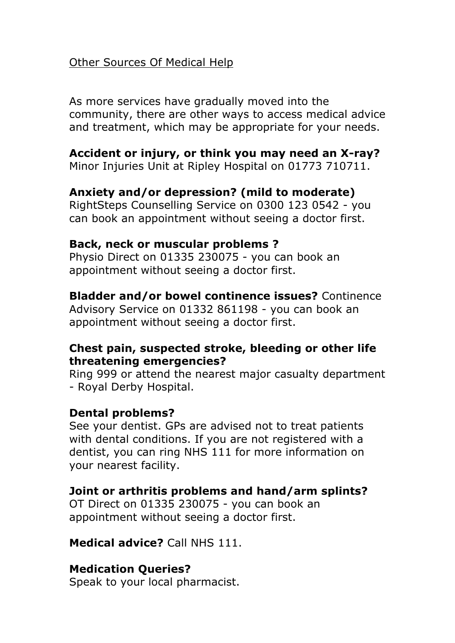## Other Sources Of Medical Help

As more services have gradually moved into the community, there are other ways to access medical advice and treatment, which may be appropriate for your needs.

#### **Accident or injury, or think you may need an X-ray?**

Minor Injuries Unit at Ripley Hospital on 01773 710711.

## **Anxiety and/or depression? (mild to moderate)**

RightSteps Counselling Service on 0300 123 0542 - you can book an appointment without seeing a doctor first.

#### **Back, neck or muscular problems ?**

Physio Direct on 01335 230075 - you can book an appointment without seeing a doctor first.

# **Bladder and/or bowel continence issues?** Continence

Advisory Service on 01332 861198 - you can book an appointment without seeing a doctor first.

#### **Chest pain, suspected stroke, bleeding or other life threatening emergencies?**

Ring 999 or attend the nearest major casualty department - Royal Derby Hospital.

#### **Dental problems?**

See your dentist. GPs are advised not to treat patients with dental conditions. If you are not registered with a dentist, you can ring NHS 111 for more information on your nearest facility.

# **Joint or arthritis problems and hand/arm splints?**

OT Direct on 01335 230075 - you can book an appointment without seeing a doctor first.

**Medical advice?** Call NHS 111.

# **Medication Queries?**

Speak to your local pharmacist.